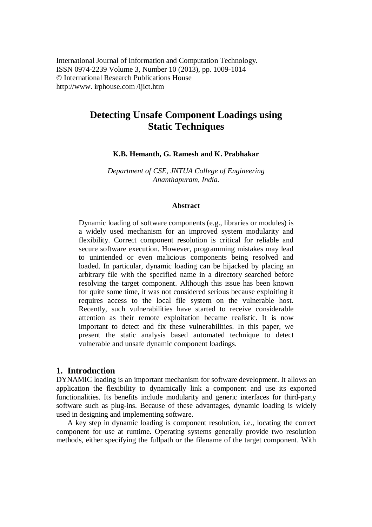# **Detecting Unsafe Component Loadings using Static Techniques**

#### **K.B. Hemanth, G. Ramesh and K. Prabhakar**

*Department of CSE, JNTUA College of Engineering Ananthapuram, India.*

#### **Abstract**

Dynamic loading of software components (e.g., libraries or modules) is a widely used mechanism for an improved system modularity and flexibility. Correct component resolution is critical for reliable and secure software execution. However, programming mistakes may lead to unintended or even malicious components being resolved and loaded. In particular, dynamic loading can be hijacked by placing an arbitrary file with the specified name in a directory searched before resolving the target component. Although this issue has been known for quite some time, it was not considered serious because exploiting it requires access to the local file system on the vulnerable host. Recently, such vulnerabilities have started to receive considerable attention as their remote exploitation became realistic. It is now important to detect and fix these vulnerabilities. In this paper, we present the static analysis based automated technique to detect vulnerable and unsafe dynamic component loadings.

#### **1. Introduction**

DYNAMIC loading is an important mechanism for software development. It allows an application the flexibility to dynamically link a component and use its exported functionalities. Its benefits include modularity and generic interfaces for third-party software such as plug-ins. Because of these advantages, dynamic loading is widely used in designing and implementing software.

A key step in dynamic loading is component resolution, i.e., locating the correct component for use at runtime. Operating systems generally provide two resolution methods, either specifying the fullpath or the filename of the target component. With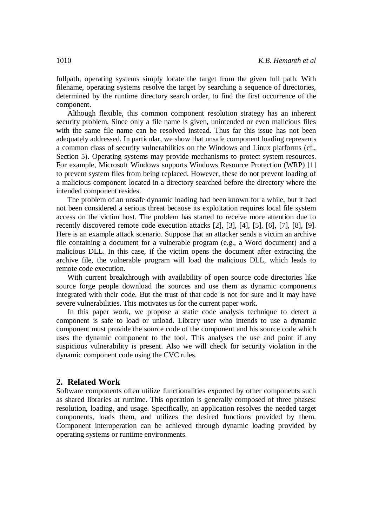fullpath, operating systems simply locate the target from the given full path. With filename, operating systems resolve the target by searching a sequence of directories, determined by the runtime directory search order, to find the first occurrence of the component.

Although flexible, this common component resolution strategy has an inherent security problem. Since only a file name is given, unintended or even malicious files with the same file name can be resolved instead. Thus far this issue has not been adequately addressed. In particular, we show that unsafe component loading represents a common class of security vulnerabilities on the Windows and Linux platforms (cf., Section 5). Operating systems may provide mechanisms to protect system resources. For example, Microsoft Windows supports Windows Resource Protection (WRP) [1] to prevent system files from being replaced. However, these do not prevent loading of a malicious component located in a directory searched before the directory where the intended component resides.

The problem of an unsafe dynamic loading had been known for a while, but it had not been considered a serious threat because its exploitation requires local file system access on the victim host. The problem has started to receive more attention due to recently discovered remote code execution attacks [2], [3], [4], [5], [6], [7], [8], [9]. Here is an example attack scenario. Suppose that an attacker sends a victim an archive file containing a document for a vulnerable program (e.g., a Word document) and a malicious DLL. In this case, if the victim opens the document after extracting the archive file, the vulnerable program will load the malicious DLL, which leads to remote code execution.

With current breakthrough with availability of open source code directories like source forge people download the sources and use them as dynamic components integrated with their code. But the trust of that code is not for sure and it may have severe vulnerabilities. This motivates us for the current paper work.

In this paper work, we propose a static code analysis technique to detect a component is safe to load or unload. Library user who intends to use a dynamic component must provide the source code of the component and his source code which uses the dynamic component to the tool. This analyses the use and point if any suspicious vulnerability is present. Also we will check for security violation in the dynamic component code using the CVC rules.

#### **2. Related Work**

Software components often utilize functionalities exported by other components such as shared libraries at runtime. This operation is generally composed of three phases: resolution, loading, and usage. Specifically, an application resolves the needed target components, loads them, and utilizes the desired functions provided by them. Component interoperation can be achieved through dynamic loading provided by operating systems or runtime environments.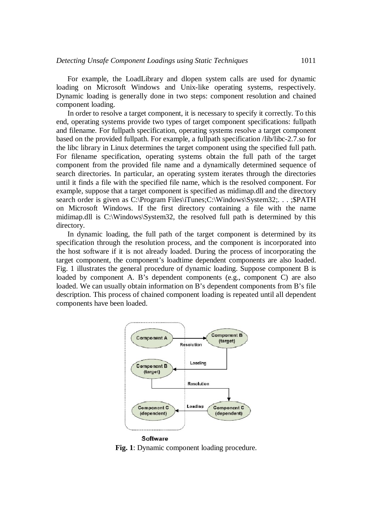For example, the LoadLibrary and dlopen system calls are used for dynamic loading on Microsoft Windows and Unix-like operating systems, respectively. Dynamic loading is generally done in two steps: component resolution and chained component loading.

In order to resolve a target component, it is necessary to specify it correctly. To this end, operating systems provide two types of target component specifications: fullpath and filename. For fullpath specification, operating systems resolve a target component based on the provided fullpath. For example, a fullpath specification /lib/libc-2.7.so for the libc library in Linux determines the target component using the specified full path. For filename specification, operating systems obtain the full path of the target component from the provided file name and a dynamically determined sequence of search directories. In particular, an operating system iterates through the directories until it finds a file with the specified file name, which is the resolved component. For example, suppose that a target component is specified as midimap.dll and the directory search order is given as C:\Program Files\iTunes;C:\Windows\System32;. . . ;\$PATH on Microsoft Windows. If the first directory containing a file with the name midimap.dll is C:\Windows\System32, the resolved full path is determined by this directory.

In dynamic loading, the full path of the target component is determined by its specification through the resolution process, and the component is incorporated into the host software if it is not already loaded. During the process of incorporating the target component, the component's loadtime dependent components are also loaded. Fig. 1 illustrates the general procedure of dynamic loading. Suppose component B is loaded by component A. B's dependent components (e.g., component C) are also loaded. We can usually obtain information on B's dependent components from B's file description. This process of chained component loading is repeated until all dependent components have been loaded.



**Fig. 1**: Dynamic component loading procedure.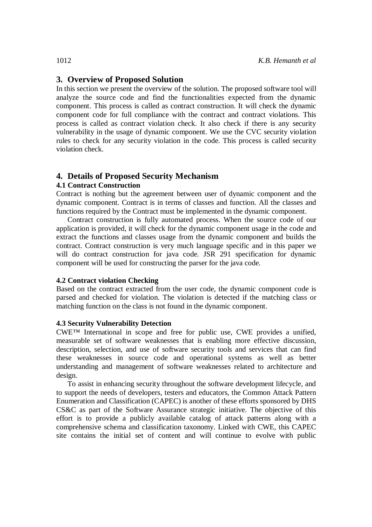# **3. Overview of Proposed Solution**

In this section we present the overview of the solution. The proposed software tool will analyze the source code and find the functionalities expected from the dynamic component. This process is called as contract construction. It will check the dynamic component code for full compliance with the contract and contract violations. This process is called as contract violation check. It also check if there is any security vulnerability in the usage of dynamic component. We use the CVC security violation rules to check for any security violation in the code. This process is called security violation check.

# **4. Details of Proposed Security Mechanism**

#### **4.1 Contract Construction**

Contract is nothing but the agreement between user of dynamic component and the dynamic component. Contract is in terms of classes and function. All the classes and functions required by the Contract must be implemented in the dynamic component.

Contract construction is fully automated process. When the source code of our application is provided, it will check for the dynamic component usage in the code and extract the functions and classes usage from the dynamic component and builds the contract. Contract construction is very much language specific and in this paper we will do contract construction for java code. JSR 291 specification for dynamic component will be used for constructing the parser for the java code.

#### **4.2 Contract violation Checking**

Based on the contract extracted from the user code, the dynamic component code is parsed and checked for violation. The violation is detected if the matching class or matching function on the class is not found in the dynamic component.

#### **4.3 Security Vulnerability Detection**

CWE™ International in scope and free for public use, CWE provides a unified, measurable set of software weaknesses that is enabling more effective discussion, description, selection, and use of software security tools and services that can find these weaknesses in source code and operational systems as well as better understanding and management of software weaknesses related to architecture and design.

To assist in enhancing security throughout the software development lifecycle, and to support the needs of developers, testers and educators, the Common Attack Pattern Enumeration and Classification (CAPEC) is another of these efforts sponsored by DHS CS&C as part of the Software Assurance strategic initiative. The objective of this effort is to provide a publicly available catalog of attack patterns along with a comprehensive schema and classification taxonomy. Linked with CWE, this CAPEC site contains the initial set of content and will continue to evolve with public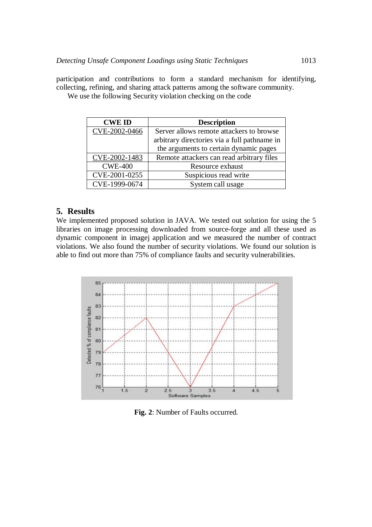participation and contributions to form a standard mechanism for identifying, collecting, refining, and sharing attack patterns among the software community.

We use the following Security violation checking on the code

| <b>CWE ID</b>  | <b>Description</b>                           |
|----------------|----------------------------------------------|
| CVE-2002-0466  | Server allows remote attackers to browse     |
|                | arbitrary directories via a full pathname in |
|                | the arguments to certain dynamic pages       |
| CVE-2002-1483  | Remote attackers can read arbitrary files    |
| <b>CWE-400</b> | Resource exhaust                             |
| CVE-2001-0255  | Suspicious read write                        |
| CVE-1999-0674  | System call usage                            |

### **5. Results**

We implemented proposed solution in JAVA. We tested out solution for using the 5 libraries on image processing downloaded from source-forge and all these used as dynamic component in imagej application and we measured the number of contract violations. We also found the number of security violations. We found our solution is able to find out more than 75% of compliance faults and security vulnerabilities.



**Fig. 2**: Number of Faults occurred.